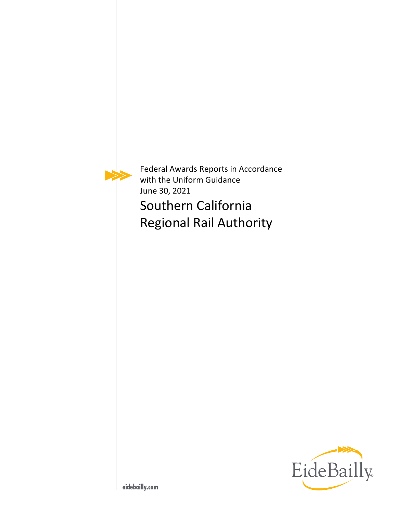

Federal Awards Reports in Accordance with the Uniform Guidance June 30, 2021 Southern California Regional Rail Authority

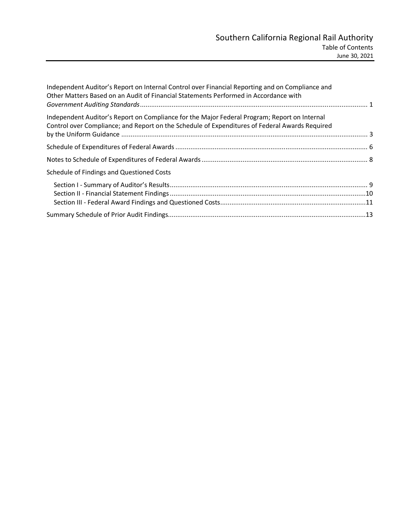| Independent Auditor's Report on Internal Control over Financial Reporting and on Compliance and<br>Other Matters Based on an Audit of Financial Statements Performed in Accordance with        |  |
|------------------------------------------------------------------------------------------------------------------------------------------------------------------------------------------------|--|
| Independent Auditor's Report on Compliance for the Major Federal Program; Report on Internal<br>Control over Compliance; and Report on the Schedule of Expenditures of Federal Awards Required |  |
|                                                                                                                                                                                                |  |
|                                                                                                                                                                                                |  |
| Schedule of Findings and Questioned Costs                                                                                                                                                      |  |
|                                                                                                                                                                                                |  |
|                                                                                                                                                                                                |  |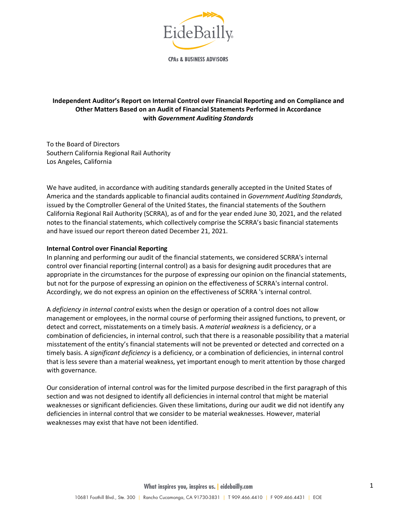

**CPAs & BUSINESS ADVISORS** 

# **Independent Auditor's Report on Internal Control over Financial Reporting and on Compliance and Other Matters Based on an Audit of Financial Statements Performed in Accordance with** *Government Auditing Standards*

To the Board of Directors Southern California Regional Rail Authority Los Angeles, California

We have audited, in accordance with auditing standards generally accepted in the United States of America and the standards applicable to financial audits contained in *Government Auditing Standards*, issued by the Comptroller General of the United States, the financial statements of the Southern California Regional Rail Authority (SCRRA), as of and for the year ended June 30, 2021, and the related notes to the financial statements, which collectively comprise the SCRRA's basic financial statements and have issued our report thereon dated December 21, 2021.

#### **Internal Control over Financial Reporting**

In planning and performing our audit of the financial statements, we considered SCRRA's internal control over financial reporting (internal control) as a basis for designing audit procedures that are appropriate in the circumstances for the purpose of expressing our opinion on the financial statements, but not for the purpose of expressing an opinion on the effectiveness of SCRRA's internal control. Accordingly, we do not express an opinion on the effectiveness of SCRRA 's internal control.

A *deficiency in internal control* exists when the design or operation of a control does not allow management or employees, in the normal course of performing their assigned functions, to prevent, or detect and correct, misstatements on a timely basis. A *material weakness* is a deficiency, or a combination of deficiencies, in internal control, such that there is a reasonable possibility that a material misstatement of the entity's financial statements will not be prevented or detected and corrected on a timely basis. A *significant deficiency* is a deficiency, or a combination of deficiencies, in internal control that is less severe than a material weakness, yet important enough to merit attention by those charged with governance.

Our consideration of internal control was for the limited purpose described in the first paragraph of this section and was not designed to identify all deficiencies in internal control that might be material weaknesses or significant deficiencies. Given these limitations, during our audit we did not identify any deficiencies in internal control that we consider to be material weaknesses. However, material weaknesses may exist that have not been identified.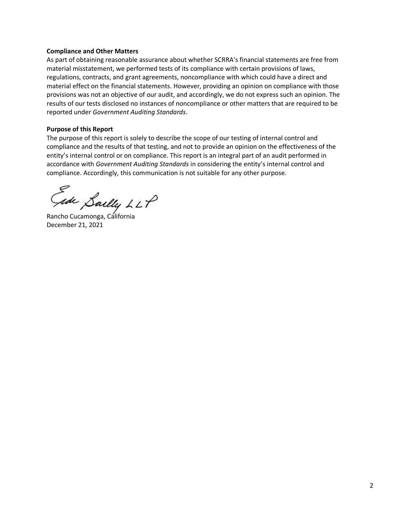#### **Compliance and Other Matters**

As part of obtaining reasonable assurance about whether SCRRA's financial statements are free from material misstatement, we performed tests of its compliance with certain provisions of laws, regulations, contracts, and grant agreements, noncompliance with which could have a direct and material effect on the financial statements. However, providing an opinion on compliance with those provisions was not an objective of our audit, and accordingly, we do not express such an opinion. The results of our tests disclosed no instances of noncompliance or other matters that are required to be reported under *Government Auditing Standards*.

#### **Purpose of this Report**

The purpose of this report is solely to describe the scope of our testing of internal control and compliance and the results of that testing, and not to provide an opinion on the effectiveness of the entity's internal control or on compliance. This report is an integral part of an audit performed in accordance with *Government Auditing Standards* in considering the entity's internal control and compliance. Accordingly, this communication is not suitable for any other purpose.

Sally LLP<br>Rancho Cucamonga, California

December 21, 2021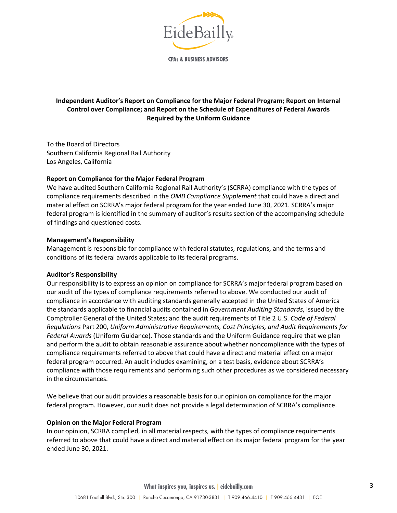

**CPAs & BUSINESS ADVISORS** 

# **Independent Auditor's Report on Compliance for the Major Federal Program; Report on Internal Control over Compliance; and Report on the Schedule of Expenditures of Federal Awards Required by the Uniform Guidance**

To the Board of Directors Southern California Regional Rail Authority Los Angeles, California

## **Report on Compliance for the Major Federal Program**

We have audited Southern California Regional Rail Authority's (SCRRA) compliance with the types of compliance requirements described in the *OMB Compliance Supplement* that could have a direct and material effect on SCRRA's major federal program for the year ended June 30, 2021. SCRRA's major federal program is identified in the summary of auditor's results section of the accompanying schedule of findings and questioned costs.

#### **Management's Responsibility**

Management is responsible for compliance with federal statutes, regulations, and the terms and conditions of its federal awards applicable to its federal programs.

#### **Auditor's Responsibility**

Our responsibility is to express an opinion on compliance for SCRRA's major federal program based on our audit of the types of compliance requirements referred to above. We conducted our audit of compliance in accordance with auditing standards generally accepted in the United States of America the standards applicable to financial audits contained in *Government Auditing Standards*, issued by the Comptroller General of the United States; and the audit requirements of Title 2 U.S. *Code of Federal Regulations* Part 200, *Uniform Administrative Requirements, Cost Principles, and Audit Requirements for Federal Awards* (Uniform Guidance). Those standards and the Uniform Guidance require that we plan and perform the audit to obtain reasonable assurance about whether noncompliance with the types of compliance requirements referred to above that could have a direct and material effect on a major federal program occurred. An audit includes examining, on a test basis, evidence about SCRRA's compliance with those requirements and performing such other procedures as we considered necessary in the circumstances.

We believe that our audit provides a reasonable basis for our opinion on compliance for the major federal program. However, our audit does not provide a legal determination of SCRRA's compliance.

#### **Opinion on the Major Federal Program**

In our opinion, SCRRA complied, in all material respects, with the types of compliance requirements referred to above that could have a direct and material effect on its major federal program for the year ended June 30, 2021.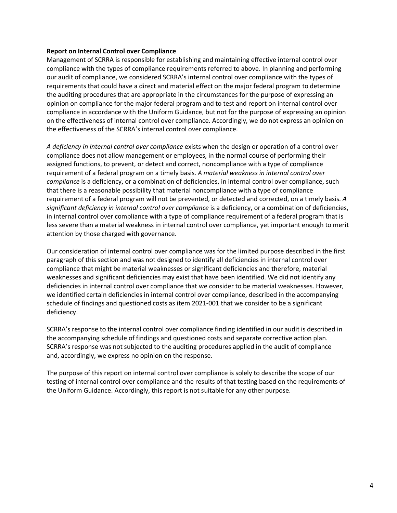#### **Report on Internal Control over Compliance**

Management of SCRRA is responsible for establishing and maintaining effective internal control over compliance with the types of compliance requirements referred to above. In planning and performing our audit of compliance, we considered SCRRA's internal control over compliance with the types of requirements that could have a direct and material effect on the major federal program to determine the auditing procedures that are appropriate in the circumstances for the purpose of expressing an opinion on compliance for the major federal program and to test and report on internal control over compliance in accordance with the Uniform Guidance, but not for the purpose of expressing an opinion on the effectiveness of internal control over compliance. Accordingly, we do not express an opinion on the effectiveness of the SCRRA's internal control over compliance.

*A deficiency in internal control over compliance* exists when the design or operation of a control over compliance does not allow management or employees, in the normal course of performing their assigned functions, to prevent, or detect and correct, noncompliance with a type of compliance requirement of a federal program on a timely basis. *A material weakness in internal control over compliance* is a deficiency, or a combination of deficiencies, in internal control over compliance, such that there is a reasonable possibility that material noncompliance with a type of compliance requirement of a federal program will not be prevented, or detected and corrected, on a timely basis. *A significant deficiency in internal control over compliance* is a deficiency, or a combination of deficiencies, in internal control over compliance with a type of compliance requirement of a federal program that is less severe than a material weakness in internal control over compliance, yet important enough to merit attention by those charged with governance.

Our consideration of internal control over compliance was for the limited purpose described in the first paragraph of this section and was not designed to identify all deficiencies in internal control over compliance that might be material weaknesses or significant deficiencies and therefore, material weaknesses and significant deficiencies may exist that have been identified. We did not identify any deficiencies in internal control over compliance that we consider to be material weaknesses. However, we identified certain deficiencies in internal control over compliance, described in the accompanying schedule of findings and questioned costs as item 2021-001 that we consider to be a significant deficiency.

SCRRA's response to the internal control over compliance finding identified in our audit is described in the accompanying schedule of findings and questioned costs and separate corrective action plan. SCRRA's response was not subjected to the auditing procedures applied in the audit of compliance and, accordingly, we express no opinion on the response.

The purpose of this report on internal control over compliance is solely to describe the scope of our testing of internal control over compliance and the results of that testing based on the requirements of the Uniform Guidance. Accordingly, this report is not suitable for any other purpose.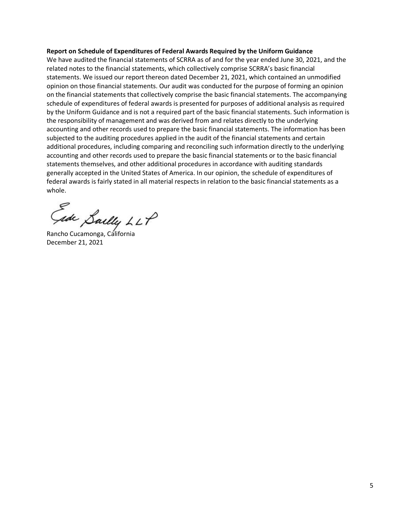#### **Report on Schedule of Expenditures of Federal Awards Required by the Uniform Guidance**

We have audited the financial statements of SCRRA as of and for the year ended June 30, 2021, and the related notes to the financial statements, which collectively comprise SCRRA's basic financial statements. We issued our report thereon dated December 21, 2021, which contained an unmodified opinion on those financial statements. Our audit was conducted for the purpose of forming an opinion on the financial statements that collectively comprise the basic financial statements. The accompanying schedule of expenditures of federal awards is presented for purposes of additional analysis as required by the Uniform Guidance and is not a required part of the basic financial statements. Such information is the responsibility of management and was derived from and relates directly to the underlying accounting and other records used to prepare the basic financial statements. The information has been subjected to the auditing procedures applied in the audit of the financial statements and certain additional procedures, including comparing and reconciling such information directly to the underlying accounting and other records used to prepare the basic financial statements or to the basic financial statements themselves, and other additional procedures in accordance with auditing standards generally accepted in the United States of America. In our opinion, the schedule of expenditures of federal awards is fairly stated in all material respects in relation to the basic financial statements as a whole.

Gade Saelly LLP

December 21, 2021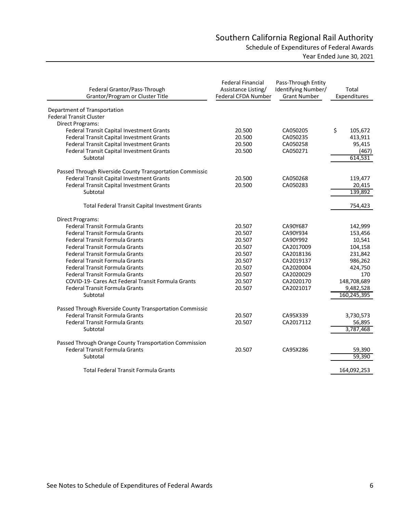| Federal Grantor/Pass-Through<br>Grantor/Program or Cluster Title                           | <b>Federal Financial</b><br>Assistance Listing/<br>Federal CFDA Number | Pass-Through Entity<br>Identifying Number/<br><b>Grant Number</b> | Total<br>Expenditures |
|--------------------------------------------------------------------------------------------|------------------------------------------------------------------------|-------------------------------------------------------------------|-----------------------|
| Department of Transportation                                                               |                                                                        |                                                                   |                       |
| <b>Federal Transit Cluster</b>                                                             |                                                                        |                                                                   |                       |
| Direct Programs:                                                                           |                                                                        |                                                                   |                       |
| Federal Transit Capital Investment Grants                                                  | 20.500                                                                 | CA050205                                                          | \$<br>105,672         |
| Federal Transit Capital Investment Grants                                                  | 20.500                                                                 | CA050235                                                          | 413,911               |
| Federal Transit Capital Investment Grants                                                  | 20.500                                                                 | CA050258                                                          | 95,415                |
| Federal Transit Capital Investment Grants                                                  | 20.500                                                                 | CA050271                                                          | (467)                 |
| Subtotal                                                                                   |                                                                        |                                                                   | 614,531               |
| Passed Through Riverside County Transportation Commissio                                   |                                                                        |                                                                   |                       |
| Federal Transit Capital Investment Grants                                                  | 20.500                                                                 | CA050268                                                          | 119,477               |
| Federal Transit Capital Investment Grants                                                  | 20.500                                                                 | CA050283                                                          | 20,415                |
| Subtotal                                                                                   |                                                                        |                                                                   | 139,892               |
|                                                                                            |                                                                        |                                                                   |                       |
| <b>Total Federal Transit Capital Investment Grants</b>                                     |                                                                        |                                                                   | 754,423               |
| Direct Programs:                                                                           |                                                                        |                                                                   |                       |
| Federal Transit Formula Grants                                                             | 20.507                                                                 | CA90Y687                                                          | 142,999               |
| <b>Federal Transit Formula Grants</b>                                                      | 20.507                                                                 | CA90Y934                                                          | 153,456               |
| Federal Transit Formula Grants                                                             | 20.507                                                                 | CA90Y992                                                          | 10,541                |
| <b>Federal Transit Formula Grants</b>                                                      | 20.507                                                                 | CA2017009                                                         | 104,158               |
| Federal Transit Formula Grants                                                             | 20.507                                                                 | CA2018136                                                         | 231,842               |
| Federal Transit Formula Grants                                                             | 20.507                                                                 | CA2019137                                                         | 986,262               |
| <b>Federal Transit Formula Grants</b>                                                      | 20.507                                                                 | CA2020004                                                         | 424,750               |
| <b>Federal Transit Formula Grants</b>                                                      | 20.507                                                                 | CA2020029                                                         | 170                   |
| COVID-19- Cares Act Federal Transit Formula Grants                                         | 20.507                                                                 | CA2020170                                                         | 148,708,689           |
| Federal Transit Formula Grants                                                             | 20.507                                                                 | CA2021017                                                         | 9,482,528             |
| Subtotal                                                                                   |                                                                        |                                                                   | 160,245,395           |
|                                                                                            |                                                                        |                                                                   |                       |
| Passed Through Riverside County Transportation Commissio<br>Federal Transit Formula Grants | 20.507                                                                 | CA95X339                                                          |                       |
| <b>Federal Transit Formula Grants</b>                                                      | 20.507                                                                 | CA2017112                                                         | 3,730,573<br>56,895   |
| Subtotal                                                                                   |                                                                        |                                                                   | 3,787,468             |
|                                                                                            |                                                                        |                                                                   |                       |
| Passed Through Orange County Transportation Commission                                     |                                                                        |                                                                   |                       |
| <b>Federal Transit Formula Grants</b>                                                      | 20.507                                                                 | CA95X286                                                          | 59,390                |
| Subtotal                                                                                   |                                                                        |                                                                   | 59,390                |
| <b>Total Federal Transit Formula Grants</b>                                                |                                                                        |                                                                   | 164,092,253           |
|                                                                                            |                                                                        |                                                                   |                       |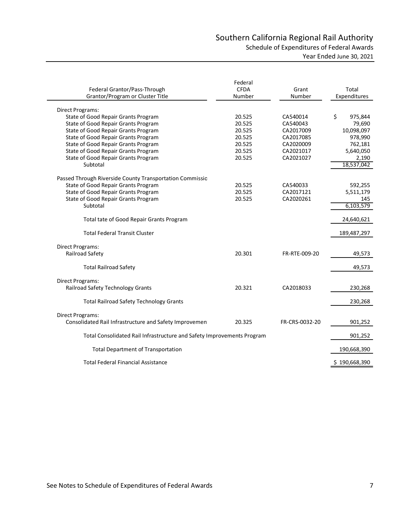# Southern California Regional Rail Authority Schedule of Expenditures of Federal Awards

|  | Year Ended June 30, 2021 |  |  |  |
|--|--------------------------|--|--|--|
|--|--------------------------|--|--|--|

| Federal Grantor/Pass-Through<br>Grantor/Program or Cluster Title       | Federal<br><b>CFDA</b><br>Number | Grant<br>Number | Total<br>Expenditures |
|------------------------------------------------------------------------|----------------------------------|-----------------|-----------------------|
| Direct Programs:                                                       |                                  |                 |                       |
| State of Good Repair Grants Program                                    | 20.525                           | CA540014        | \$<br>975,844         |
| State of Good Repair Grants Program                                    | 20.525                           | CA540043        | 79,690                |
| State of Good Repair Grants Program                                    | 20.525                           | CA2017009       | 10,098,097            |
| State of Good Repair Grants Program                                    | 20.525                           | CA2017085       | 978,990               |
| State of Good Repair Grants Program                                    | 20.525                           | CA2020009       | 762,181               |
| State of Good Repair Grants Program                                    | 20.525                           | CA2021017       | 5,640,050             |
| State of Good Repair Grants Program                                    | 20.525                           | CA2021027       | 2,190                 |
| Subtotal                                                               |                                  |                 | 18,537,042            |
|                                                                        |                                  |                 |                       |
| Passed Through Riverside County Transportation Commissio               |                                  |                 |                       |
| State of Good Repair Grants Program                                    | 20.525                           | CA540033        | 592,255               |
| State of Good Repair Grants Program                                    | 20.525                           | CA2017121       | 5,511,179             |
| State of Good Repair Grants Program                                    | 20.525                           | CA2020261       | 145                   |
| Subtotal                                                               |                                  |                 | 6,103,579             |
| Total tate of Good Repair Grants Program                               |                                  |                 | 24,640,621            |
| <b>Total Federal Transit Cluster</b>                                   |                                  |                 | 189,487,297           |
| Direct Programs:                                                       |                                  |                 |                       |
| Railroad Safety                                                        | 20.301                           | FR-RTE-009-20   | 49,573                |
|                                                                        |                                  |                 |                       |
| <b>Total Railroad Safety</b>                                           |                                  |                 | 49,573                |
| Direct Programs:                                                       |                                  |                 |                       |
| Railroad Safety Technology Grants                                      | 20.321                           | CA2018033       | 230,268               |
|                                                                        |                                  |                 |                       |
| <b>Total Railroad Safety Technology Grants</b>                         |                                  |                 | 230,268               |
|                                                                        |                                  |                 |                       |
| <b>Direct Programs:</b>                                                |                                  |                 |                       |
| Consolidated Rail Infrastructure and Safety Improvemen                 | 20.325                           | FR-CRS-0032-20  | 901,252               |
| Total Consolidated Rail Infrastructure and Safety Improvements Program |                                  |                 | 901,252               |
|                                                                        |                                  |                 |                       |
| <b>Total Department of Transportation</b>                              |                                  |                 | 190,668,390           |
| <b>Total Federal Financial Assistance</b>                              |                                  |                 | \$190,668,390         |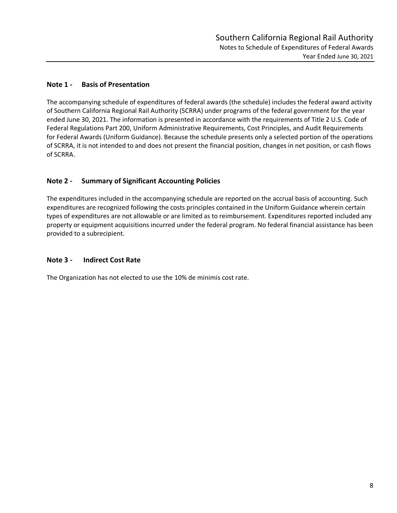# **Note 1 - Basis of Presentation**

The accompanying schedule of expenditures of federal awards (the schedule) includes the federal award activity of Southern California Regional Rail Authority (SCRRA) under programs of the federal government for the year ended June 30, 2021. The information is presented in accordance with the requirements of Title 2 U.S. Code of Federal Regulations Part 200, Uniform Administrative Requirements, Cost Principles, and Audit Requirements for Federal Awards (Uniform Guidance). Because the schedule presents only a selected portion of the operations of SCRRA, it is not intended to and does not present the financial position, changes in net position, or cash flows of SCRRA.

# **Note 2 - Summary of Significant Accounting Policies**

The expenditures included in the accompanying schedule are reported on the accrual basis of accounting. Such expenditures are recognized following the costs principles contained in the Uniform Guidance wherein certain types of expenditures are not allowable or are limited as to reimbursement. Expenditures reported included any property or equipment acquisitions incurred under the federal program. No federal financial assistance has been provided to a subrecipient.

# **Note 3 - Indirect Cost Rate**

The Organization has not elected to use the 10% de minimis cost rate.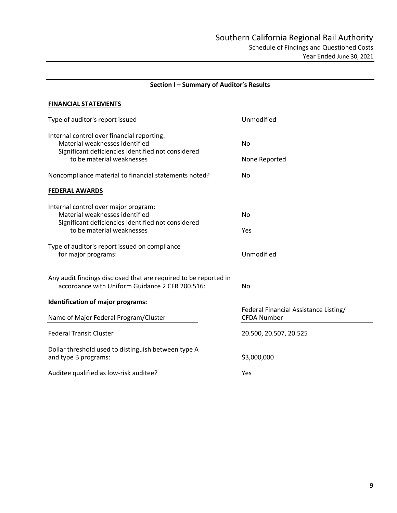| Section I - Summary of Auditor's Results                                                                                           |                                                             |  |
|------------------------------------------------------------------------------------------------------------------------------------|-------------------------------------------------------------|--|
| <b>FINANCIAL STATEMENTS</b>                                                                                                        |                                                             |  |
| Type of auditor's report issued                                                                                                    | Unmodified                                                  |  |
| Internal control over financial reporting:<br>Material weaknesses identified<br>Significant deficiencies identified not considered | No                                                          |  |
| to be material weaknesses                                                                                                          | None Reported                                               |  |
| Noncompliance material to financial statements noted?                                                                              | No                                                          |  |
| <b>FEDERAL AWARDS</b>                                                                                                              |                                                             |  |
| Internal control over major program:<br>Material weaknesses identified<br>Significant deficiencies identified not considered       | No                                                          |  |
| to be material weaknesses                                                                                                          | Yes                                                         |  |
| Type of auditor's report issued on compliance<br>for major programs:                                                               | Unmodified                                                  |  |
| Any audit findings disclosed that are required to be reported in<br>accordance with Uniform Guidance 2 CFR 200.516:                | No                                                          |  |
| Identification of major programs:                                                                                                  |                                                             |  |
| Name of Major Federal Program/Cluster                                                                                              | Federal Financial Assistance Listing/<br><b>CFDA Number</b> |  |
| <b>Federal Transit Cluster</b>                                                                                                     | 20.500, 20.507, 20.525                                      |  |
| Dollar threshold used to distinguish between type A<br>and type B programs:                                                        | \$3,000,000                                                 |  |
| Auditee qualified as low-risk auditee?                                                                                             | Yes                                                         |  |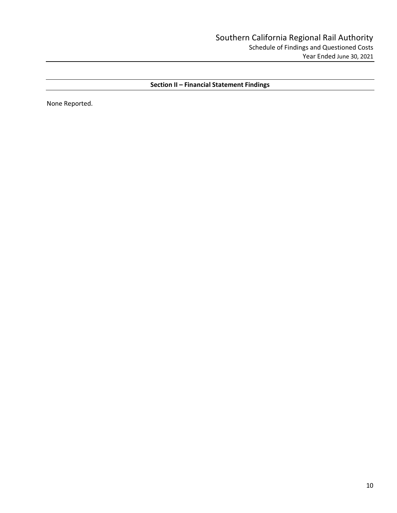**Section II – Financial Statement Findings** 

None Reported.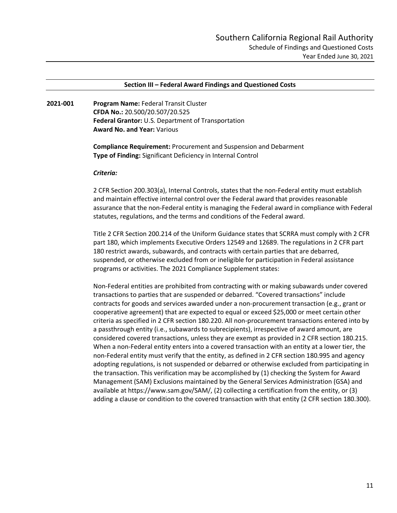#### **Section III – Federal Award Findings and Questioned Costs**

**2021-001 Program Name:** Federal Transit Cluster **CFDA No.:** 20.500/20.507/20.525 **Federal Grantor:** U.S. Department of Transportation **Award No. and Year:** Various

> **Compliance Requirement:** Procurement and Suspension and Debarment **Type of Finding:** Significant Deficiency in Internal Control

#### *Criteria:*

2 CFR Section 200.303(a), Internal Controls, states that the non-Federal entity must establish and maintain effective internal control over the Federal award that provides reasonable assurance that the non-Federal entity is managing the Federal award in compliance with Federal statutes, regulations, and the terms and conditions of the Federal award.

Title 2 CFR Section 200.214 of the Uniform Guidance states that SCRRA must comply with 2 CFR part 180, which implements Executive Orders 12549 and 12689. The regulations in 2 CFR part 180 restrict awards, subawards, and contracts with certain parties that are debarred, suspended, or otherwise excluded from or ineligible for participation in Federal assistance programs or activities. The 2021 Compliance Supplement states:

Non-Federal entities are prohibited from contracting with or making subawards under covered transactions to parties that are suspended or debarred. "Covered transactions" include contracts for goods and services awarded under a non-procurement transaction (e.g., grant or cooperative agreement) that are expected to equal or exceed \$25,000 or meet certain other criteria as specified in 2 CFR section 180.220. All non-procurement transactions entered into by a passthrough entity (i.e., subawards to subrecipients), irrespective of award amount, are considered covered transactions, unless they are exempt as provided in 2 CFR section 180.215. When a non-Federal entity enters into a covered transaction with an entity at a lower tier, the non-Federal entity must verify that the entity, as defined in 2 CFR section 180.995 and agency adopting regulations, is not suspended or debarred or otherwise excluded from participating in the transaction. This verification may be accomplished by (1) checking the System for Award Management (SAM) Exclusions maintained by the General Services Administration (GSA) and available at https://www.sam.gov/SAM/, (2) collecting a certification from the entity, or (3) adding a clause or condition to the covered transaction with that entity (2 CFR section 180.300).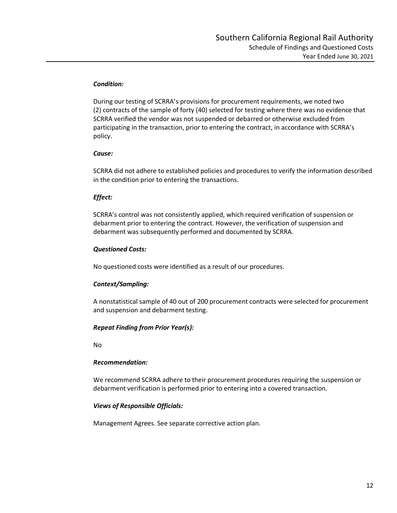## *Condition:*

During our testing of SCRRA's provisions for procurement requirements, we noted two (2) contracts of the sample of forty (40) selected for testing where there was no evidence that SCRRA verified the vendor was not suspended or debarred or otherwise excluded from participating in the transaction, prior to entering the contract, in accordance with SCRRA's policy.

# *Cause:*

SCRRA did not adhere to established policies and procedures to verify the information described in the condition prior to entering the transactions.

# *Effect:*

SCRRA's control was not consistently applied, which required verification of suspension or debarment prior to entering the contract. However, the verification of suspension and debarment was subsequently performed and documented by SCRRA.

# *Questioned Costs:*

No questioned costs were identified as a result of our procedures.

# *Context/Sampling:*

A nonstatistical sample of 40 out of 200 procurement contracts were selected for procurement and suspension and debarment testing.

# *Repeat Finding from Prior Year(s):*

No

# *Recommendation:*

We recommend SCRRA adhere to their procurement procedures requiring the suspension or debarment verification is performed prior to entering into a covered transaction.

# *Views of Responsible Officials:*

Management Agrees. See separate corrective action plan.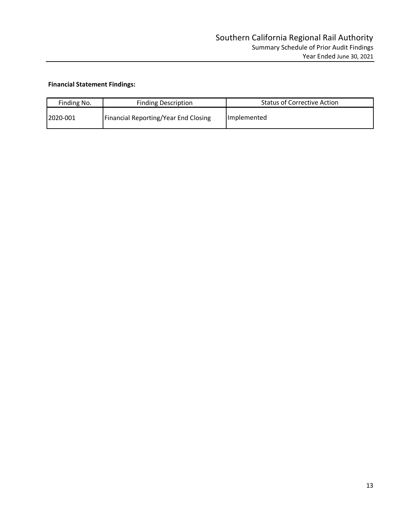# **Financial Statement Findings:**

| Finding No. | <b>Finding Description</b>           | <b>Status of Corrective Action</b> |
|-------------|--------------------------------------|------------------------------------|
| 12020-001   | Financial Reporting/Year End Closing | <b>Implemented</b>                 |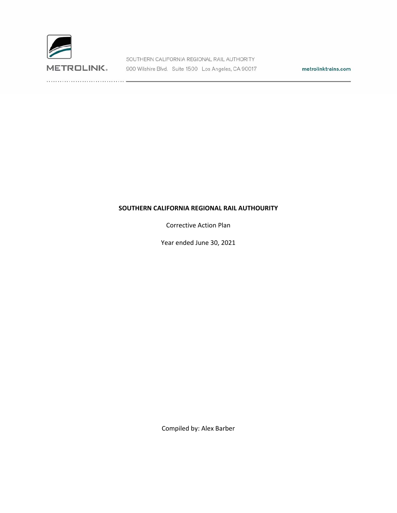

SOUTHERN CALIFORNIA REGIONAL RAIL AUTHORITY METROLINK. 900 Wilshire Blvd. Suite 1500 Los Angeles, CA 90017

metrolinktrains.com

## **SOUTHERN CALIFORNIA REGIONAL RAIL AUTHOURITY**

Corrective Action Plan

Year ended June 30, 2021

Compiled by: Alex Barber